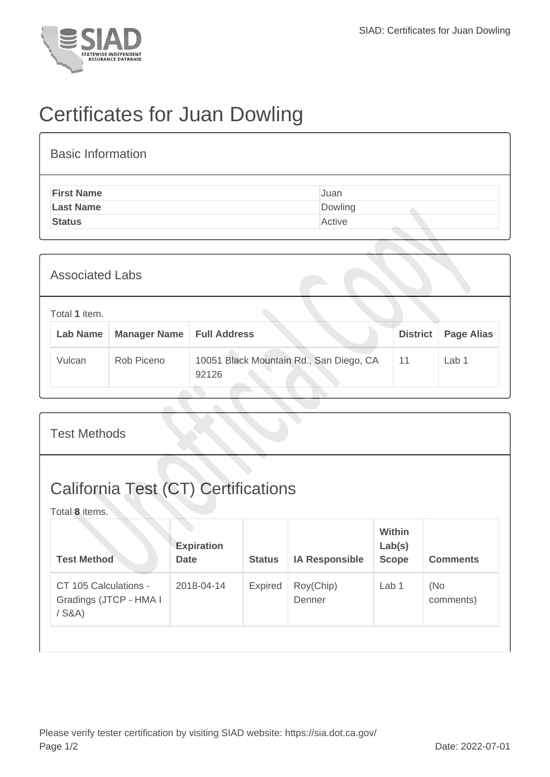

## Certificates for Juan Dowling

| <b>Basic Information</b> |         |  |  |  |  |  |
|--------------------------|---------|--|--|--|--|--|
| <b>First Name</b>        | Juan    |  |  |  |  |  |
| <b>Last Name</b>         | Dowling |  |  |  |  |  |
| <b>Status</b>            | Active  |  |  |  |  |  |

| <b>Associated Labs</b>                                  |        |            |                                                  |                 |                   |  |
|---------------------------------------------------------|--------|------------|--------------------------------------------------|-----------------|-------------------|--|
| Total 1 item.<br><b>Lab Name</b><br><b>Manager Name</b> |        |            | <b>Full Address</b>                              | <b>District</b> | <b>Page Alias</b> |  |
|                                                         | Vulcan | Rob Piceno | 10051 Black Mountain Rd., San Diego, CA<br>92126 | 11              | Lab 1             |  |

| <b>Test Methods</b>                                          |                                  |               |                       |                                  |                  |  |
|--------------------------------------------------------------|----------------------------------|---------------|-----------------------|----------------------------------|------------------|--|
| <b>California Test (CT) Certifications</b><br>Total 8 items. |                                  |               |                       |                                  |                  |  |
| <b>Test Method</b>                                           | <b>Expiration</b><br><b>Date</b> | <b>Status</b> | <b>IA Responsible</b> | Within<br>Lab(s)<br><b>Scope</b> | <b>Comments</b>  |  |
| CT 105 Calculations -<br>Gradings (JTCP - HMA I<br>$/$ S&A)  | 2018-04-14                       | Expired       | Roy(Chip)<br>Denner   | Lab 1                            | (No<br>comments) |  |
|                                                              |                                  |               |                       |                                  |                  |  |